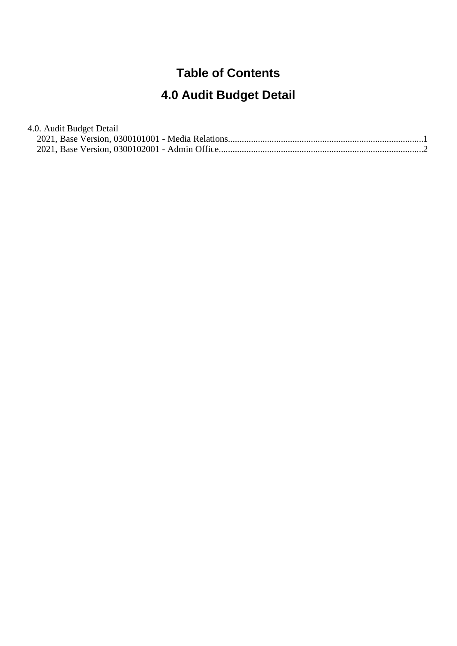#### **Table of Contents**

# **4.0 Audit Budget Detail**

| 4.0. Audit Budget Detail |  |
|--------------------------|--|
|                          |  |
|                          |  |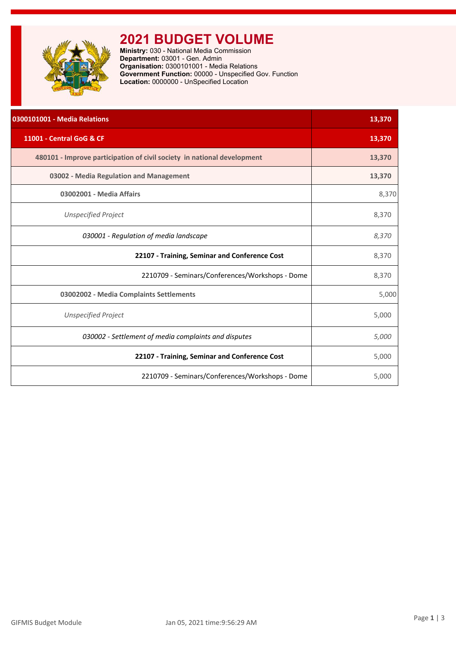<span id="page-1-0"></span>

### **2021 BUDGET VOLUME**

**Ministry:** 030 - National Media Commission **Department:** 03001 - Gen. Admin **Organisation:** 0300101001 - Media Relations **Government Function:** 00000 - Unspecified Gov. Function **Location:** 0000000 - UnSpecified Location

| 0300101001 - Media Relations                                            | 13,370 |
|-------------------------------------------------------------------------|--------|
| 11001 - Central GoG & CF                                                | 13,370 |
| 480101 - Improve participation of civil society in national development | 13,370 |
| 03002 - Media Regulation and Management                                 | 13,370 |
| 03002001 - Media Affairs                                                | 8,370  |
| <b>Unspecified Project</b>                                              | 8,370  |
| 030001 - Regulation of media landscape                                  | 8,370  |
| 22107 - Training, Seminar and Conference Cost                           | 8,370  |
| 2210709 - Seminars/Conferences/Workshops - Dome                         | 8,370  |
| 03002002 - Media Complaints Settlements                                 | 5,000  |
| <b>Unspecified Project</b>                                              | 5,000  |
| 030002 - Settlement of media complaints and disputes                    | 5,000  |
| 22107 - Training, Seminar and Conference Cost                           | 5,000  |
| 2210709 - Seminars/Conferences/Workshops - Dome                         | 5,000  |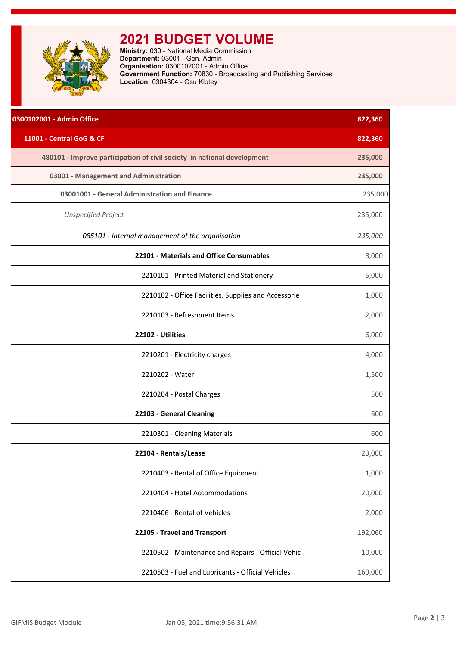<span id="page-2-0"></span>

# **2021 BUDGET VOLUME**

**Ministry:** 030 - National Media Commission **Department:** 03001 - Gen. Admin **Organisation:** 0300102001 - Admin Office **Government Function:** 70830 - Broadcasting and Publishing Services **Location:** 0304304 - Osu Klotey

| 0300102001 - Admin Office                                               | 822,360 |
|-------------------------------------------------------------------------|---------|
| 11001 - Central GoG & CF                                                | 822,360 |
| 480101 - Improve participation of civil society in national development | 235,000 |
| 03001 - Management and Administration                                   | 235,000 |
| 03001001 - General Administration and Finance                           | 235,000 |
| <b>Unspecified Project</b>                                              | 235,000 |
| 085101 - Internal management of the organisation                        | 235,000 |
| 22101 - Materials and Office Consumables                                | 8,000   |
| 2210101 - Printed Material and Stationery                               | 5,000   |
| 2210102 - Office Facilities, Supplies and Accessorie                    | 1,000   |
| 2210103 - Refreshment Items                                             | 2,000   |
| 22102 - Utilities                                                       | 6,000   |
| 2210201 - Electricity charges                                           | 4,000   |
| 2210202 - Water                                                         | 1,500   |
| 2210204 - Postal Charges                                                | 500     |
| 22103 - General Cleaning                                                | 600     |
| 2210301 - Cleaning Materials                                            | 600     |
| 22104 - Rentals/Lease                                                   | 23,000  |
| 2210403 - Rental of Office Equipment                                    | 1,000   |
| 2210404 - Hotel Accommodations                                          | 20,000  |
| 2210406 - Rental of Vehicles                                            | 2,000   |
| 22105 - Travel and Transport                                            | 192,060 |
| 2210502 - Maintenance and Repairs - Official Vehic                      | 10,000  |
| 2210503 - Fuel and Lubricants - Official Vehicles                       | 160,000 |